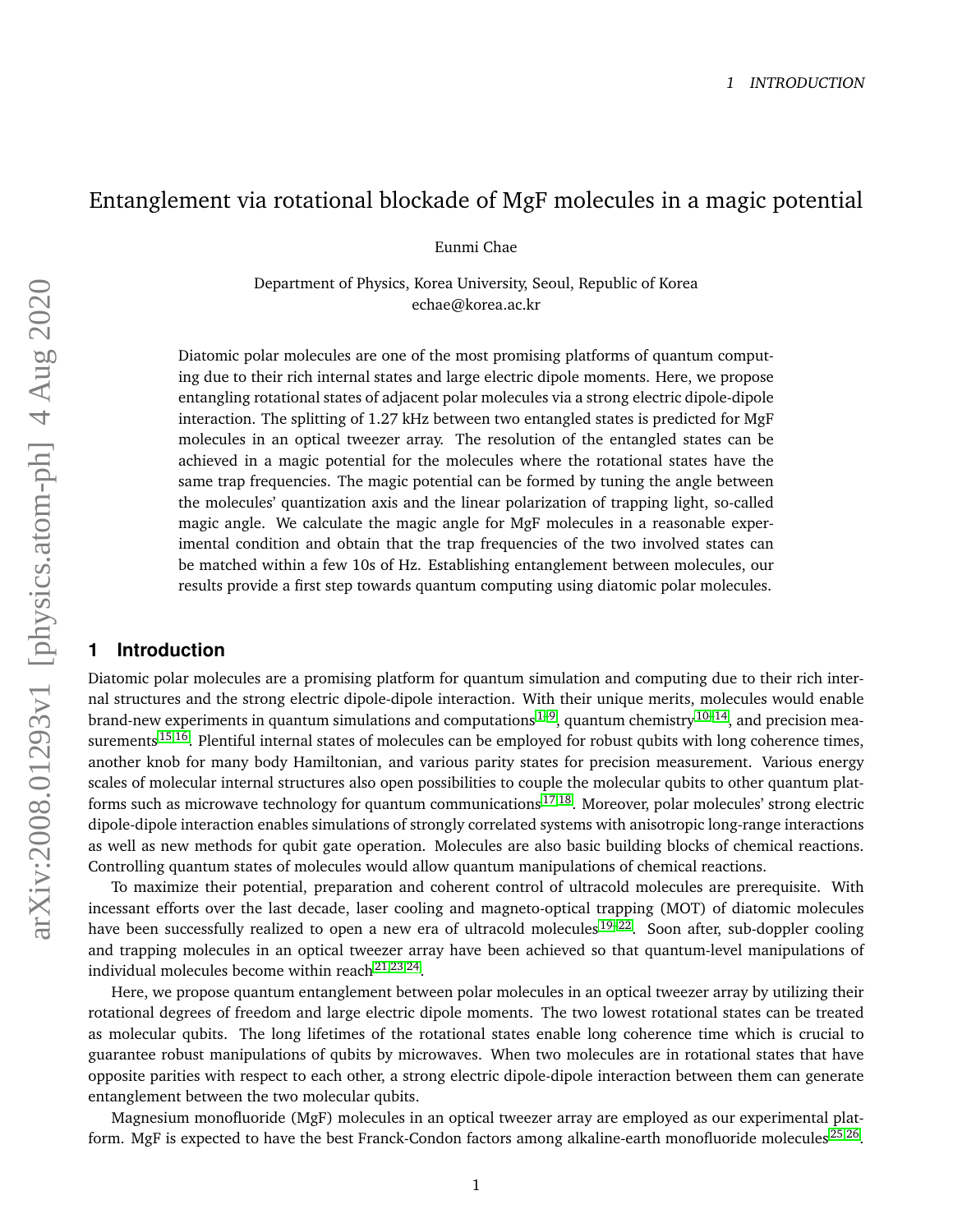# Entanglement via rotational blockade of MgF molecules in a magic potential

Eunmi Chae

Department of Physics, Korea University, Seoul, Republic of Korea echae@korea.ac.kr

Diatomic polar molecules are one of the most promising platforms of quantum computing due to their rich internal states and large electric dipole moments. Here, we propose entangling rotational states of adjacent polar molecules via a strong electric dipole-dipole interaction. The splitting of 1.27 kHz between two entangled states is predicted for MgF molecules in an optical tweezer array. The resolution of the entangled states can be achieved in a magic potential for the molecules where the rotational states have the same trap frequencies. The magic potential can be formed by tuning the angle between the molecules' quantization axis and the linear polarization of trapping light, so-called magic angle. We calculate the magic angle for MgF molecules in a reasonable experimental condition and obtain that the trap frequencies of the two involved states can be matched within a few 10s of Hz. Establishing entanglement between molecules, our results provide a first step towards quantum computing using diatomic polar molecules.

### **1 Introduction**

Diatomic polar molecules are a promising platform for quantum simulation and computing due to their rich internal structures and the strong electric dipole-dipole interaction. With their unique merits, molecules would enable brand-new experiments in quantum simulations and computations<sup>[1](#page-6-0)[–9](#page-7-0)</sup>, quantum chemistry<sup>[10–](#page-7-1)[14](#page-7-2)</sup>, and precision mea-surements<sup>[15](#page-7-3)[,16](#page-7-4)</sup>. Plentiful internal states of molecules can be employed for robust qubits with long coherence times, another knob for many body Hamiltonian, and various parity states for precision measurement. Various energy scales of molecular internal structures also open possibilities to couple the molecular qubits to other quantum plat-forms such as microwave technology for quantum communications<sup>[17,](#page-7-5)[18](#page-8-0)</sup>. Moreover, polar molecules' strong electric dipole-dipole interaction enables simulations of strongly correlated systems with anisotropic long-range interactions as well as new methods for qubit gate operation. Molecules are also basic building blocks of chemical reactions. Controlling quantum states of molecules would allow quantum manipulations of chemical reactions.

To maximize their potential, preparation and coherent control of ultracold molecules are prerequisite. With incessant efforts over the last decade, laser cooling and magneto-optical trapping (MOT) of diatomic molecules have been successfully realized to open a new era of ultracold molecules<sup>[19–](#page-8-1)[22](#page-8-2)</sup>. Soon after, sub-doppler cooling and trapping molecules in an optical tweezer array have been achieved so that quantum-level manipulations of individual molecules become within reach $^{21,23,24}$  $^{21,23,24}$  $^{21,23,24}$  $^{21,23,24}$  $^{21,23,24}$ .

Here, we propose quantum entanglement between polar molecules in an optical tweezer array by utilizing their rotational degrees of freedom and large electric dipole moments. The two lowest rotational states can be treated as molecular qubits. The long lifetimes of the rotational states enable long coherence time which is crucial to guarantee robust manipulations of qubits by microwaves. When two molecules are in rotational states that have opposite parities with respect to each other, a strong electric dipole-dipole interaction between them can generate entanglement between the two molecular qubits.

Magnesium monofluoride (MgF) molecules in an optical tweezer array are employed as our experimental platform. MgF is expected to have the best Franck-Condon factors among alkaline-earth monofluoride molecules $^{25,26}$  $^{25,26}$  $^{25,26}$  $^{25,26}$ .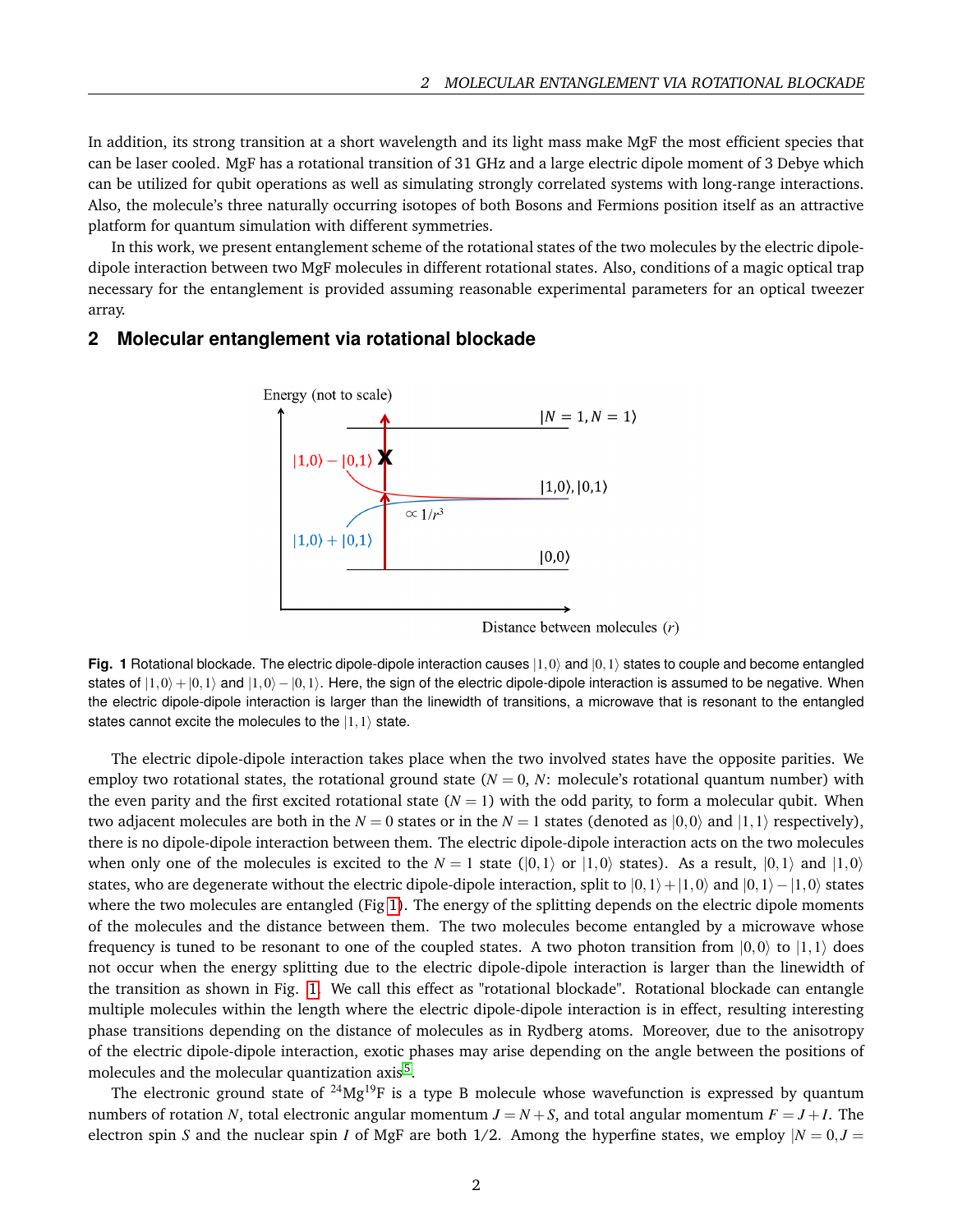In addition, its strong transition at a short wavelength and its light mass make MgF the most efficient species that can be laser cooled. MgF has a rotational transition of 31 GHz and a large electric dipole moment of 3 Debye which can be utilized for qubit operations as well as simulating strongly correlated systems with long-range interactions. Also, the molecule's three naturally occurring isotopes of both Bosons and Fermions position itself as an attractive platform for quantum simulation with different symmetries.

In this work, we present entanglement scheme of the rotational states of the two molecules by the electric dipoledipole interaction between two MgF molecules in different rotational states. Also, conditions of a magic optical trap necessary for the entanglement is provided assuming reasonable experimental parameters for an optical tweezer array.

#### <span id="page-1-0"></span>**2 Molecular entanglement via rotational blockade**



Distance between molecules  $(r)$ 

**Fig. 1** Rotational blockade. The electric dipole-dipole interaction causes  $|1,0\rangle$  and  $|0,1\rangle$  states to couple and become entangled states of  $|1,0\rangle + |0,1\rangle$  and  $|1,0\rangle - |0,1\rangle$ . Here, the sign of the electric dipole-dipole interaction is assumed to be negative. When the electric dipole-dipole interaction is larger than the linewidth of transitions, a microwave that is resonant to the entangled states cannot excite the molecules to the  $|1,1\rangle$  state.

The electric dipole-dipole interaction takes place when the two involved states have the opposite parities. We employ two rotational states, the rotational ground state  $(N = 0, N$ : molecule's rotational quantum number) with the even parity and the first excited rotational state  $(N = 1)$  with the odd parity, to form a molecular qubit. When two adjacent molecules are both in the  $N = 0$  states or in the  $N = 1$  states (denoted as  $|0,0\rangle$  and  $|1,1\rangle$  respectively), there is no dipole-dipole interaction between them. The electric dipole-dipole interaction acts on the two molecules when only one of the molecules is excited to the  $N = 1$  state ( $|0,1\rangle$  or  $|1,0\rangle$  states). As a result,  $|0,1\rangle$  and  $|1,0\rangle$ states, who are degenerate without the electric dipole-dipole interaction, split to  $|0,1\rangle+|1,0\rangle$  and  $|0,1\rangle-|1,0\rangle$  states where the two molecules are entangled (Fig [1\)](#page-1-0). The energy of the splitting depends on the electric dipole moments of the molecules and the distance between them. The two molecules become entangled by a microwave whose frequency is tuned to be resonant to one of the coupled states. A two photon transition from  $|0,0\rangle$  to  $|1,1\rangle$  does not occur when the energy splitting due to the electric dipole-dipole interaction is larger than the linewidth of the transition as shown in Fig. [1.](#page-1-0) We call this effect as "rotational blockade". Rotational blockade can entangle multiple molecules within the length where the electric dipole-dipole interaction is in effect, resulting interesting phase transitions depending on the distance of molecules as in Rydberg atoms. Moreover, due to the anisotropy of the electric dipole-dipole interaction, exotic phases may arise depending on the angle between the positions of molecules and the molecular quantization axis<sup>[5](#page-6-1)</sup>.

The electronic ground state of  $24Mg^{19}F$  is a type B molecule whose wavefunction is expressed by quantum numbers of rotation *N*, total electronic angular momentum  $J = N + S$ , and total angular momentum  $F = J + I$ . The electron spin *S* and the nuclear spin *I* of MgF are both 1/2. Among the hyperfine states, we employ  $|N = 0, J = 0$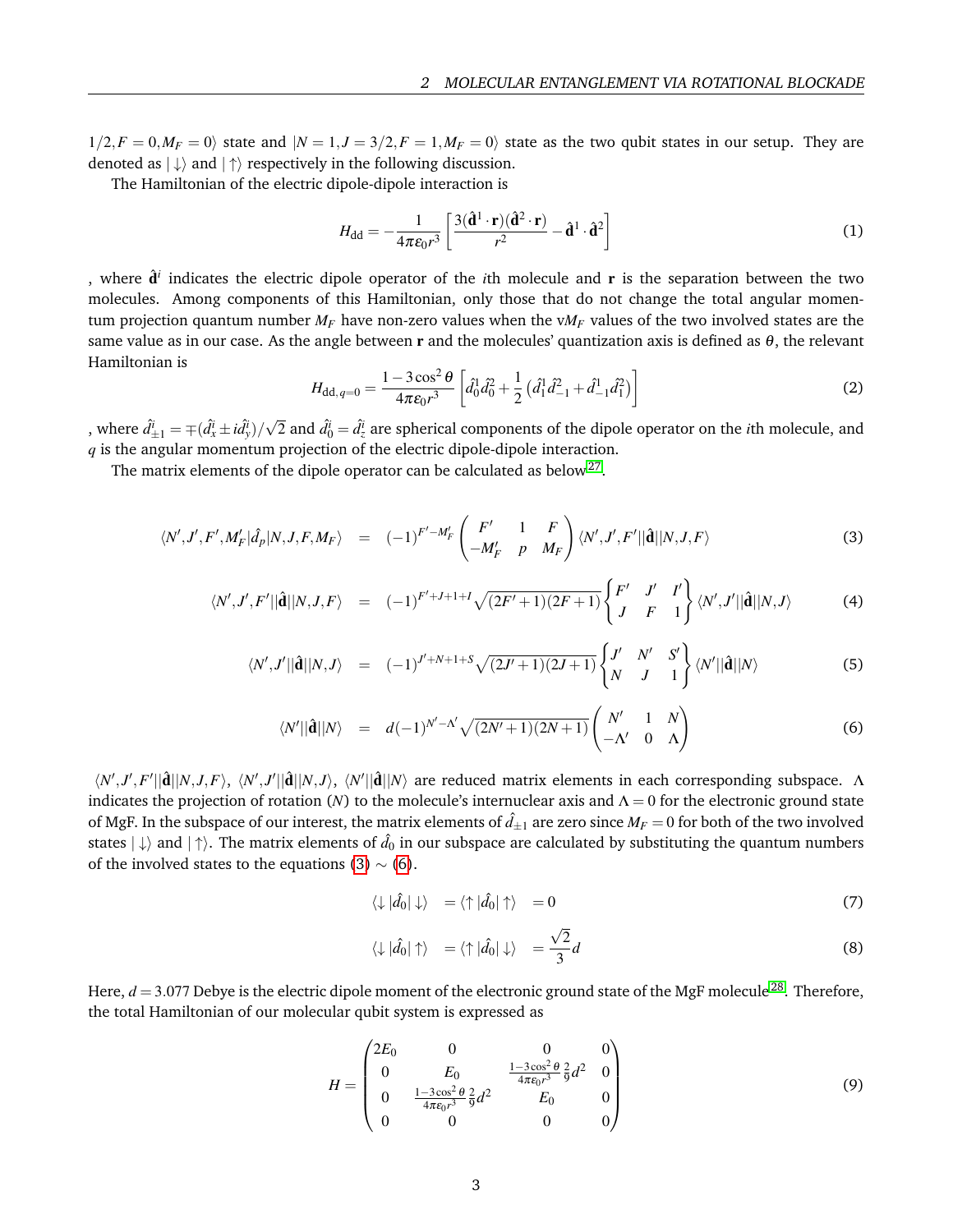$1/2, F = 0, M_F = 0$  state and  $|N = 1, J = 3/2, F = 1, M_F = 0$  state as the two qubit states in our setup. They are denoted as  $|\downarrow\rangle$  and  $|\uparrow\rangle$  respectively in the following discussion.

The Hamiltonian of the electric dipole-dipole interaction is

$$
H_{\rm dd} = -\frac{1}{4\pi\epsilon_0 r^3} \left[ \frac{3(\hat{\mathbf{d}}^1 \cdot \mathbf{r})(\hat{\mathbf{d}}^2 \cdot \mathbf{r})}{r^2} - \hat{\mathbf{d}}^1 \cdot \hat{\mathbf{d}}^2 \right]
$$
(1)

, where  $\hat{\mathbf{d}}^i$  indicates the electric dipole operator of the *i*th molecule and  $\mathbf{r}$  is the separation between the two molecules. Among components of this Hamiltonian, only those that do not change the total angular momentum projection quantum number  $M_F$  have non-zero values when the  $vM_F$  values of the two involved states are the same value as in our case. As the angle between r and the molecules' quantization axis is defined as  $\theta$ , the relevant Hamiltonian is

$$
H_{\text{dd},q=0} = \frac{1 - 3\cos^2\theta}{4\pi\varepsilon_0 r^3} \left[ \hat{d}_0^1 \hat{d}_0^2 + \frac{1}{2} \left( \hat{d}_1^1 \hat{d}_{-1}^2 + \hat{d}_{-1}^1 \hat{d}_1^2 \right) \right]
$$
(2)

, where  $\hat{d}_{\pm 1}^{\tilde{\imath}} = \mp (\hat{d}_x^{\tilde{\imath}} \pm i \hat{d}_y^{\tilde{\imath}})/$  $\sqrt{2}$  and  $\hat{d}_0^i = \hat{d}_z^i$  are spherical components of the dipole operator on the *i*th molecule, and *q* is the angular momentum projection of the electric dipole-dipole interaction.

The matrix elements of the dipole operator can be calculated as below<sup>[27](#page-8-8)</sup>.

<span id="page-2-0"></span>
$$
\langle N',J',F',M'_{F}|\hat{d}_{p}|N,J,F,M_{F}\rangle = (-1)^{F'-M'_{F}}\begin{pmatrix} F' & 1 & F \ -M'_{F} & p & M_{F} \end{pmatrix} \langle N',J',F'||\hat{\mathbf{d}}||N,J,F\rangle
$$
(3)

$$
\langle N',J',F'||\hat{\mathbf{d}}||N,J,F\rangle = (-1)^{F'+J+1+I}\sqrt{(2F'+1)(2F+1)}\begin{Bmatrix} F' & J' & I' \\ J & F & 1 \end{Bmatrix} \langle N',J'||\hat{\mathbf{d}}||N,J\rangle \tag{4}
$$

$$
\langle N',J'||\hat{\mathbf{d}}||N,J\rangle = (-1)^{J'+N+1+S}\sqrt{(2J'+1)(2J+1)}\begin{Bmatrix}J' & N' & S'\\N & J & 1\end{Bmatrix}\langle N'||\hat{\mathbf{d}}||N\rangle
$$
 (5)

$$
\langle N' ||\hat{\mathbf{d}}||N\rangle = d(-1)^{N'-\Lambda'} \sqrt{(2N'+1)(2N+1)} \begin{pmatrix} N' & 1 & N \\ -\Lambda' & 0 & \Lambda \end{pmatrix}
$$
 (6)

 $\langle N',J',F'||\hat{\mathbf{d}}||N,J,F\rangle, \langle N',J'||\hat{\mathbf{d}}||N,J\rangle, \langle N'||\hat{\mathbf{d}}||N\rangle$  are reduced matrix elements in each corresponding subspace. Λ indicates the projection of rotation (*N*) to the molecule's internuclear axis and  $\Lambda = 0$  for the electronic ground state of MgF. In the subspace of our interest, the matrix elements of  $d_{\pm 1}$  are zero since  $M_F = 0$  for both of the two involved states  $|\downarrow\rangle$  and  $|\uparrow\rangle$ . The matrix elements of  $\hat d_0$  in our subspace are calculated by substituting the quantum numbers of the involved states to the equations [\(3\)](#page-2-0)  $\sim$  [\(6\)](#page-2-0).

$$
\langle \downarrow | \hat{d}_0 | \downarrow \rangle = \langle \uparrow | \hat{d}_0 | \uparrow \rangle = 0 \tag{7}
$$

$$
\langle \downarrow | \hat{d}_0 | \uparrow \rangle = \langle \uparrow | \hat{d}_0 | \downarrow \rangle = \frac{\sqrt{2}}{3} d \tag{8}
$$

Here,  $d = 3.077$  Debye is the electric dipole moment of the electronic ground state of the MgF molecule<sup>[28](#page-8-9)</sup>. Therefore, the total Hamiltonian of our molecular qubit system is expressed as

$$
H = \begin{pmatrix} 2E_0 & 0 & 0 & 0 \ 0 & E_0 & \frac{1-3\cos^2\theta}{4\pi\epsilon_0 r^3} \frac{2}{9} d^2 & 0 \\ 0 & \frac{1-3\cos^2\theta}{4\pi\epsilon_0 r^3} \frac{2}{9} d^2 & E_0 & 0 \\ 0 & 0 & 0 & 0 \end{pmatrix}
$$
(9)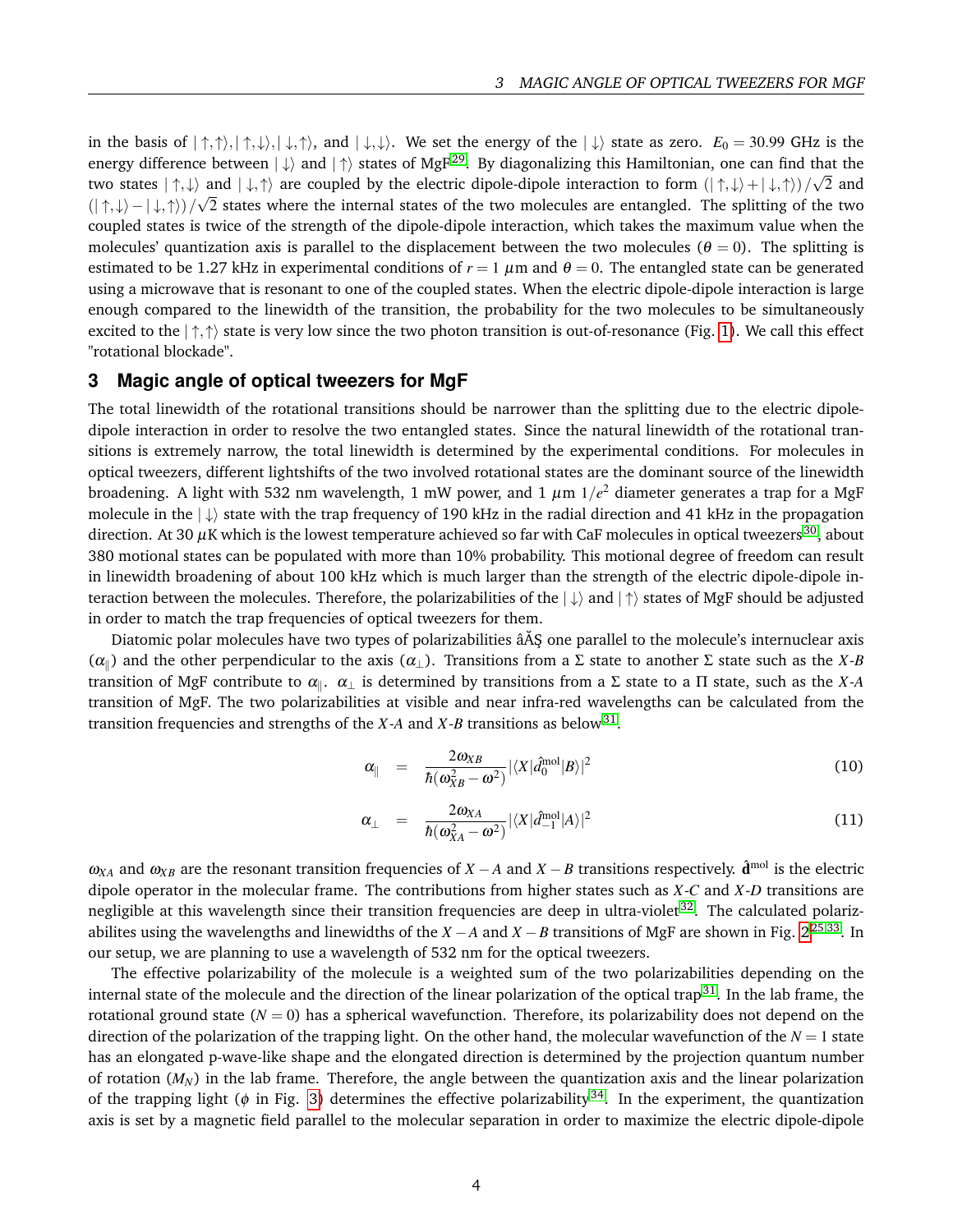in the basis of  $|\uparrow,\uparrow\rangle,|\uparrow,\downarrow\rangle,|\downarrow,\uparrow\rangle$ , and  $|\downarrow,\downarrow\rangle$ . We set the energy of the  $|\downarrow\rangle$  state as zero.  $E_0 = 30.99$  GHz is the energy difference between  $|\downarrow\rangle$  and  $|\uparrow\rangle$  states of MgF<sup>[29](#page-8-10)</sup>. By diagonalizing this Hamiltonian, one can find that the two states  $|\uparrow,\downarrow\rangle$  and  $|\downarrow,\uparrow\rangle$  are coupled by the electric dipole-dipole interaction to form  $(|\uparrow,\downarrow\rangle + |\downarrow,\uparrow\rangle)/\sqrt{2}$  and  $(| \uparrow, \downarrow \rangle - | \downarrow, \uparrow \rangle)/$ √ 2 states where the internal states of the two molecules are entangled. The splitting of the two coupled states is twice of the strength of the dipole-dipole interaction, which takes the maximum value when the molecules' quantization axis is parallel to the displacement between the two molecules ( $\theta = 0$ ). The splitting is estimated to be 1.27 kHz in experimental conditions of  $r = 1 \mu m$  and  $\theta = 0$ . The entangled state can be generated using a microwave that is resonant to one of the coupled states. When the electric dipole-dipole interaction is large enough compared to the linewidth of the transition, the probability for the two molecules to be simultaneously excited to the  $|\uparrow,\uparrow\rangle$  state is very low since the two photon transition is out-of-resonance (Fig. [1\)](#page-1-0). We call this effect "rotational blockade".

### **3 Magic angle of optical tweezers for MgF**

The total linewidth of the rotational transitions should be narrower than the splitting due to the electric dipoledipole interaction in order to resolve the two entangled states. Since the natural linewidth of the rotational transitions is extremely narrow, the total linewidth is determined by the experimental conditions. For molecules in optical tweezers, different lightshifts of the two involved rotational states are the dominant source of the linewidth broadening. A light with 532 nm wavelength, 1 mW power, and 1  $\mu$ m 1/ $e^2$  diameter generates a trap for a MgF molecule in the  $|\downarrow\rangle$  state with the trap frequency of 190 kHz in the radial direction and 41 kHz in the propagation direction. At [30](#page-8-11)  $\mu$ K which is the lowest temperature achieved so far with CaF molecules in optical tweezers<sup>30</sup>, about 380 motional states can be populated with more than 10% probability. This motional degree of freedom can result in linewidth broadening of about 100 kHz which is much larger than the strength of the electric dipole-dipole interaction between the molecules. Therefore, the polarizabilities of the  $|\downarrow\rangle$  and  $|\uparrow\rangle$  states of MgF should be adjusted in order to match the trap frequencies of optical tweezers for them.

Diatomic polar molecules have two types of polarizabilities  $\hat{A}$ § one parallel to the molecule's internuclear axis ( $\alpha_{\parallel}$ ) and the other perpendicular to the axis ( $\alpha_{\perp}$ ). Transitions from a Σ state to another Σ state such as the *X*-*B* transition of MgF contribute to  $\alpha_\parallel$ .  $\alpha_\perp$  is determined by transitions from a Σ state to a Π state, such as the *X-A* transition of MgF. The two polarizabilities at visible and near infra-red wavelengths can be calculated from the transition frequencies and strengths of the *X*-*A* and *X*-*B* transitions as below<sup>[31](#page-8-12)</sup>.

$$
\alpha_{\parallel} = \frac{2\omega_{XB}}{\hbar(\omega_{XB}^2 - \omega^2)} |\langle X| \hat{d}_0^{\text{mol}} |B \rangle|^2 \tag{10}
$$

$$
\alpha_{\perp} = \frac{2\omega_{XA}}{\hbar(\omega_{XA}^2 - \omega^2)} |\langle X|\hat{d}_{-1}^{\text{mol}}|A\rangle|^2
$$
\n(11)

 $\omega_{XA}$  and  $\omega_{XB}$  are the resonant transition frequencies of *X* − *A* and *X* − *B* transitions respectively.  $\hat{d}^{\text{mol}}$  is the electric dipole operator in the molecular frame. The contributions from higher states such as *X*-*C* and *X*-*D* transitions are negligible at this wavelength since their transition frequencies are deep in ultra-violet<sup>[32](#page-8-13)</sup>. The calculated polarizabilites using the wavelengths and linewidths of the *X* −*A* and *X* −*B* transitions of MgF are shown in Fig. [2](#page-4-0)[25,](#page-8-6)[33](#page-8-14). In our setup, we are planning to use a wavelength of 532 nm for the optical tweezers.

The effective polarizability of the molecule is a weighted sum of the two polarizabilities depending on the internal state of the molecule and the direction of the linear polarization of the optical trap<sup>[31](#page-8-12)</sup>. In the lab frame, the rotational ground state  $(N = 0)$  has a spherical wavefunction. Therefore, its polarizability does not depend on the direction of the polarization of the trapping light. On the other hand, the molecular wavefunction of the  $N = 1$  state has an elongated p-wave-like shape and the elongated direction is determined by the projection quantum number of rotation (*MN*) in the lab frame. Therefore, the angle between the quantization axis and the linear polarization of the trapping light ( $\phi$  in Fig. [3\)](#page-4-1) determines the effective polarizability<sup>[34](#page-8-15)</sup>. In the experiment, the quantization axis is set by a magnetic field parallel to the molecular separation in order to maximize the electric dipole-dipole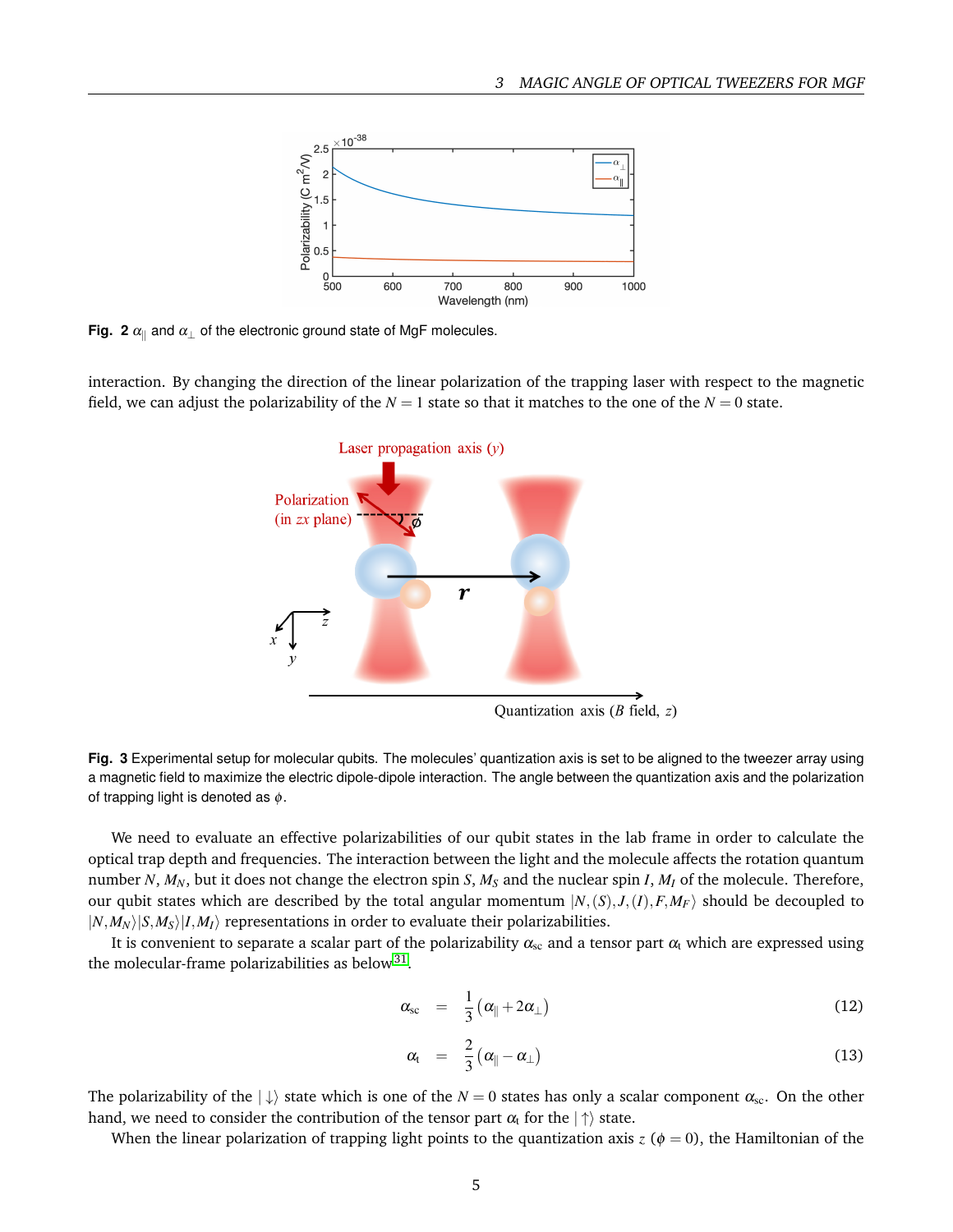<span id="page-4-0"></span>

**Fig. 2**  $\alpha_{\parallel}$  and  $\alpha_{\perp}$  of the electronic ground state of MgF molecules.

<span id="page-4-1"></span>interaction. By changing the direction of the linear polarization of the trapping laser with respect to the magnetic field, we can adjust the polarizability of the  $N = 1$  state so that it matches to the one of the  $N = 0$  state.



Quantization axis ( $B$  field,  $z$ )

**Fig. 3** Experimental setup for molecular qubits. The molecules' quantization axis is set to be aligned to the tweezer array using a magnetic field to maximize the electric dipole-dipole interaction. The angle between the quantization axis and the polarization of trapping light is denoted as  $\phi$ .

We need to evaluate an effective polarizabilities of our qubit states in the lab frame in order to calculate the optical trap depth and frequencies. The interaction between the light and the molecule affects the rotation quantum number *N*, *MN*, but it does not change the electron spin *S*, *M<sup>S</sup>* and the nuclear spin *I*, *M<sup>I</sup>* of the molecule. Therefore, our qubit states which are described by the total angular momentum  $|N,(S),J,(I),F,M_F\rangle$  should be decoupled to  $|N,M_N\rangle|S,M_S\rangle|I,M_I\rangle$  representations in order to evaluate their polarizabilities.

It is convenient to separate a scalar part of the polarizability  $\alpha_{\rm sc}$  and a tensor part  $\alpha_{\rm t}$  which are expressed using the molecular-frame polarizabilities as below $^{31}$  $^{31}$  $^{31}$ .

$$
\alpha_{\rm sc} = \frac{1}{3} \left( \alpha_{\parallel} + 2 \alpha_{\perp} \right) \tag{12}
$$

$$
\alpha_{t} = \frac{2}{3} (\alpha_{\parallel} - \alpha_{\perp}) \tag{13}
$$

The polarizability of the  $|\downarrow\rangle$  state which is one of the  $N=0$  states has only a scalar component  $\alpha_{sc}$ . On the other hand, we need to consider the contribution of the tensor part  $\alpha_t$  for the  $|\uparrow\rangle$  state.

When the linear polarization of trapping light points to the quantization axis  $z(\phi = 0)$ , the Hamiltonian of the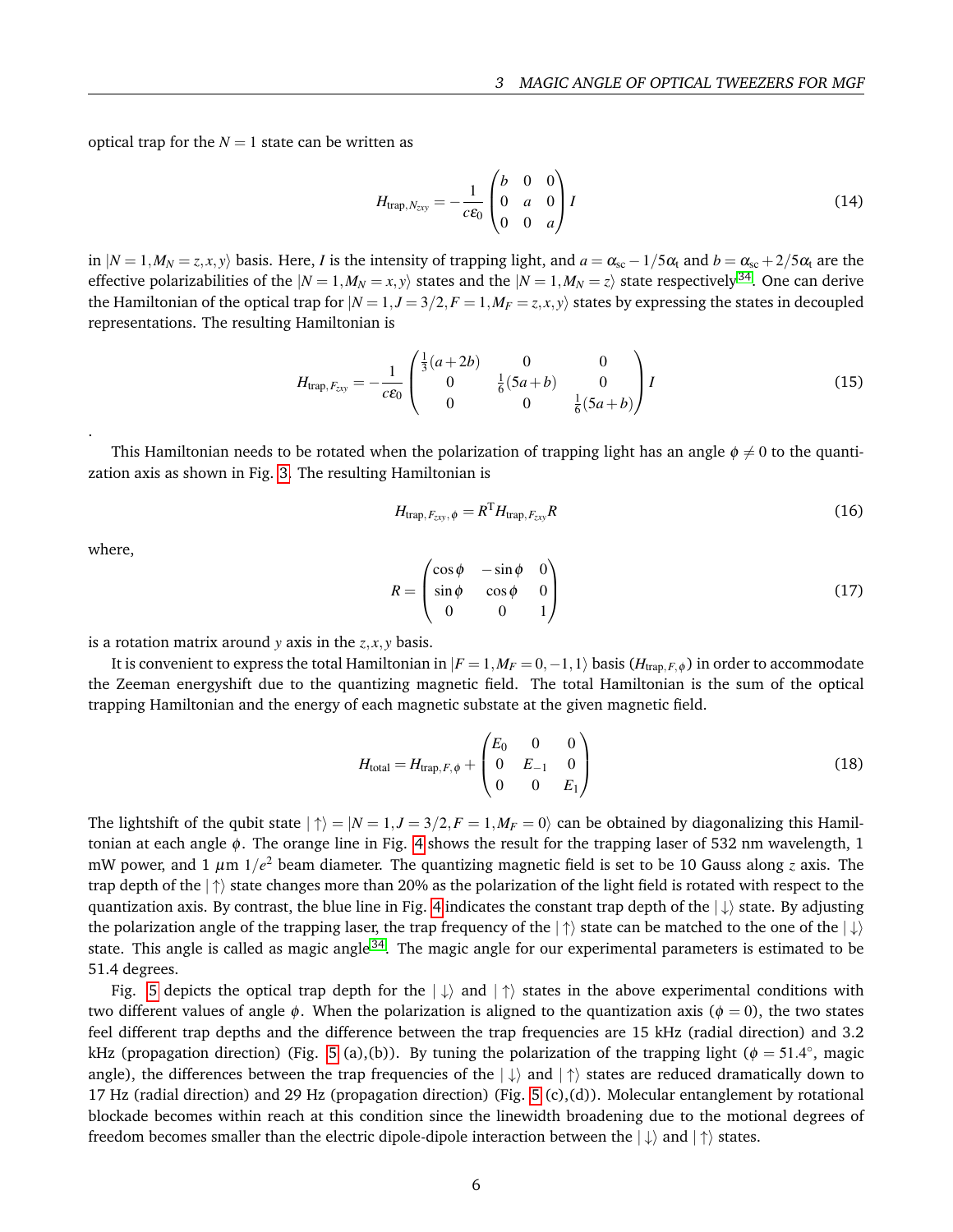optical trap for the  $N = 1$  state can be written as

$$
H_{\text{trap},N_{\text{zxy}}} = -\frac{1}{c\epsilon_0} \begin{pmatrix} b & 0 & 0 \\ 0 & a & 0 \\ 0 & 0 & a \end{pmatrix} I
$$
 (14)

in  $|N = 1, M_N = z, x, y\rangle$  basis. Here, *I* is the intensity of trapping light, and  $a = \alpha_{sc} - 1/5\alpha_t$  and  $b = \alpha_{sc} + 2/5\alpha_t$  are the effective polarizabilities of the  $|N = 1, M_N = x, y\rangle$  states and the  $|N = 1, M_N = z\rangle$  state respectively<sup>[34](#page-8-15)</sup>. One can derive the Hamiltonian of the optical trap for  $|N = 1, J = 3/2, F = 1, M_F = z, x, y\rangle$  states by expressing the states in decoupled representations. The resulting Hamiltonian is

$$
H_{\text{trap},F_{\text{zxy}}} = -\frac{1}{c\epsilon_0} \begin{pmatrix} \frac{1}{3}(a+2b) & 0 & 0\\ 0 & \frac{1}{6}(5a+b) & 0\\ 0 & 0 & \frac{1}{6}(5a+b) \end{pmatrix} I
$$
(15)

This Hamiltonian needs to be rotated when the polarization of trapping light has an angle  $\phi \neq 0$  to the quantization axis as shown in Fig. [3.](#page-4-1) The resulting Hamiltonian is

$$
H_{\text{trap},F_{zyy},\phi} = R^{\text{T}} H_{\text{trap},F_{zyy}} R \tag{16}
$$

where,

.

$$
R = \begin{pmatrix} \cos \phi & -\sin \phi & 0 \\ \sin \phi & \cos \phi & 0 \\ 0 & 0 & 1 \end{pmatrix}
$$
 (17)

is a rotation matrix around *y* axis in the *z*, *x*, *y* basis.

It is convenient to express the total Hamiltonian in  $|F = 1, M_F = 0, -1, 1\rangle$  basis ( $H_{trap, F, \phi}$ ) in order to accommodate the Zeeman energyshift due to the quantizing magnetic field. The total Hamiltonian is the sum of the optical trapping Hamiltonian and the energy of each magnetic substate at the given magnetic field.

$$
H_{\text{total}} = H_{\text{trap},F,\phi} + \begin{pmatrix} E_0 & 0 & 0 \\ 0 & E_{-1} & 0 \\ 0 & 0 & E_1 \end{pmatrix}
$$
 (18)

The lightshift of the qubit state  $|\uparrow\rangle = |N = 1, J = 3/2, F = 1, M_F = 0\rangle$  can be obtained by diagonalizing this Hamiltonian at each angle  $\phi$ . The orange line in Fig. [4](#page-6-2) shows the result for the trapping laser of 532 nm wavelength, 1 mW power, and 1 µm 1/*e* <sup>2</sup> beam diameter. The quantizing magnetic field is set to be 10 Gauss along *z* axis. The trap depth of the  $|\uparrow\rangle$  state changes more than 20% as the polarization of the light field is rotated with respect to the quantization axis. By contrast, the blue line in Fig. [4](#page-6-2) indicates the constant trap depth of the  $|\downarrow\rangle$  state. By adjusting the polarization angle of the trapping laser, the trap frequency of the  $|\uparrow\rangle$  state can be matched to the one of the  $|\downarrow\rangle$ state. This angle is called as magic angle<sup>[34](#page-8-15)</sup>. The magic angle for our experimental parameters is estimated to be 51.4 degrees.

Fig. [5](#page-7-6) depicts the optical trap depth for the  $|\downarrow\rangle$  and  $|\uparrow\rangle$  states in the above experimental conditions with two different values of angle  $\phi$ . When the polarization is aligned to the quantization axis ( $\phi = 0$ ), the two states feel different trap depths and the difference between the trap frequencies are 15 kHz (radial direction) and 3.2 kHz (propagation direction) (Fig. [5](#page-7-6) (a),(b)). By tuning the polarization of the trapping light ( $\phi = 51.4^{\circ}$ , magic angle), the differences between the trap frequencies of the  $|\downarrow\rangle$  and  $|\uparrow\rangle$  states are reduced dramatically down to 17 Hz (radial direction) and 29 Hz (propagation direction) (Fig. [5](#page-7-6) (c),(d)). Molecular entanglement by rotational blockade becomes within reach at this condition since the linewidth broadening due to the motional degrees of freedom becomes smaller than the electric dipole-dipole interaction between the  $|\downarrow\rangle$  and  $|\uparrow\rangle$  states.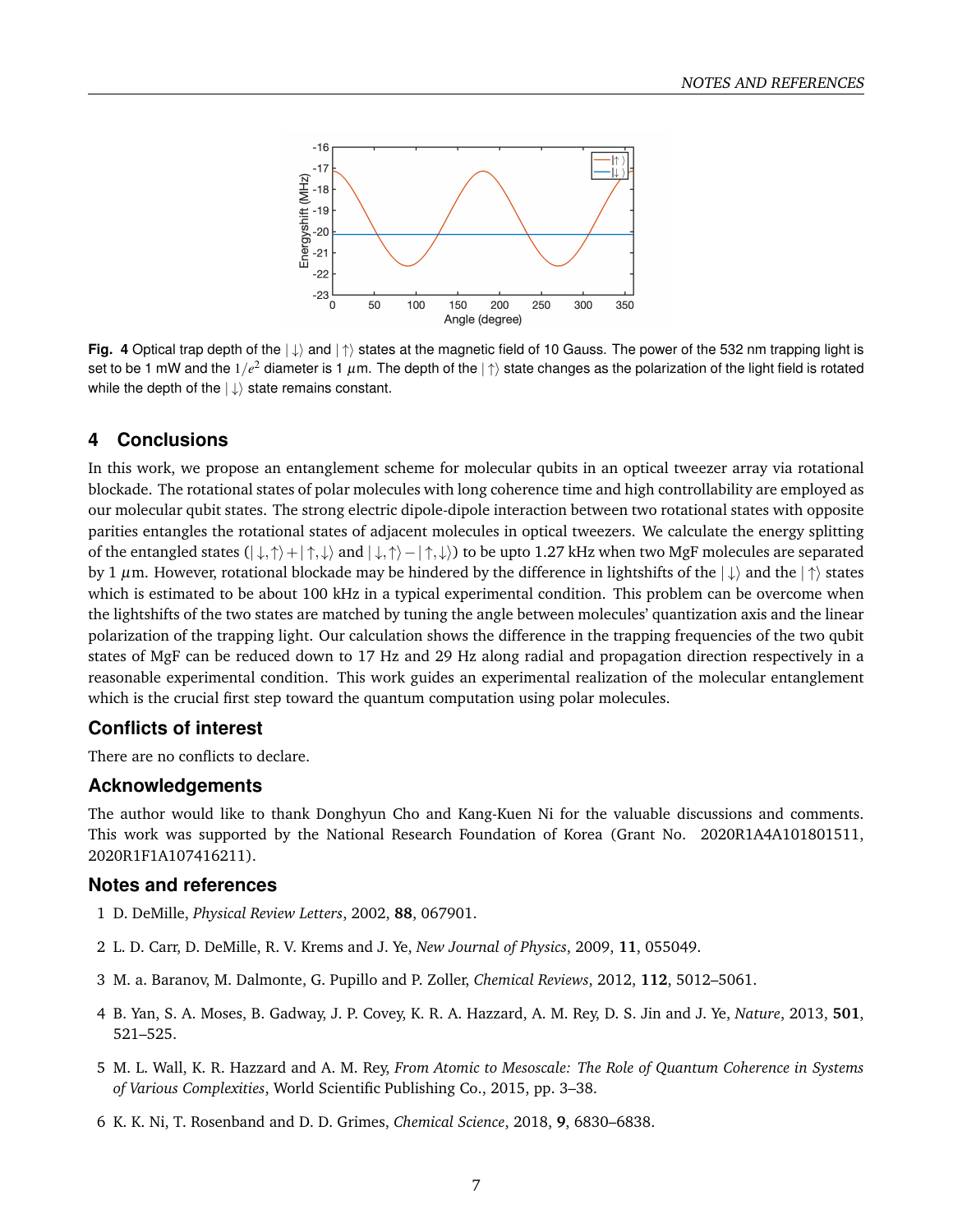<span id="page-6-2"></span>

**Fig. 4** Optical trap depth of the  $|\downarrow\rangle$  and  $|\uparrow\rangle$  states at the magnetic field of 10 Gauss. The power of the 532 nm trapping light is set to be 1 mW and the 1/ $e^2$  diameter is 1  $\mu$ m. The depth of the  $|\uparrow\rangle$  state changes as the polarization of the light field is rotated while the depth of the  $|\downarrow\rangle$  state remains constant.

# **4 Conclusions**

In this work, we propose an entanglement scheme for molecular qubits in an optical tweezer array via rotational blockade. The rotational states of polar molecules with long coherence time and high controllability are employed as our molecular qubit states. The strong electric dipole-dipole interaction between two rotational states with opposite parities entangles the rotational states of adjacent molecules in optical tweezers. We calculate the energy splitting of the entangled states  $(|\downarrow,\uparrow\rangle + |\uparrow,\downarrow\rangle$  and  $|\downarrow,\uparrow\rangle - |\uparrow,\downarrow\rangle$  to be upto 1.27 kHz when two MgF molecules are separated by 1  $\mu$ m. However, rotational blockade may be hindered by the difference in lightshifts of the  $|\downarrow\rangle$  and the  $|\uparrow\rangle$  states which is estimated to be about 100 kHz in a typical experimental condition. This problem can be overcome when the lightshifts of the two states are matched by tuning the angle between molecules' quantization axis and the linear polarization of the trapping light. Our calculation shows the difference in the trapping frequencies of the two qubit states of MgF can be reduced down to 17 Hz and 29 Hz along radial and propagation direction respectively in a reasonable experimental condition. This work guides an experimental realization of the molecular entanglement which is the crucial first step toward the quantum computation using polar molecules.

# **Conflicts of interest**

There are no conflicts to declare.

# **Acknowledgements**

The author would like to thank Donghyun Cho and Kang-Kuen Ni for the valuable discussions and comments. This work was supported by the National Research Foundation of Korea (Grant No. 2020R1A4A101801511, 2020R1F1A107416211).

# **Notes and references**

- <span id="page-6-0"></span>1 D. DeMille, *Physical Review Letters*, 2002, **88**, 067901.
- 2 L. D. Carr, D. DeMille, R. V. Krems and J. Ye, *New Journal of Physics*, 2009, **11**, 055049.
- 3 M. a. Baranov, M. Dalmonte, G. Pupillo and P. Zoller, *Chemical Reviews*, 2012, **112**, 5012–5061.
- 4 B. Yan, S. A. Moses, B. Gadway, J. P. Covey, K. R. A. Hazzard, A. M. Rey, D. S. Jin and J. Ye, *Nature*, 2013, **501**, 521–525.
- <span id="page-6-1"></span>5 M. L. Wall, K. R. Hazzard and A. M. Rey, *From Atomic to Mesoscale: The Role of Quantum Coherence in Systems of Various Complexities*, World Scientific Publishing Co., 2015, pp. 3–38.
- 6 K. K. Ni, T. Rosenband and D. D. Grimes, *Chemical Science*, 2018, **9**, 6830–6838.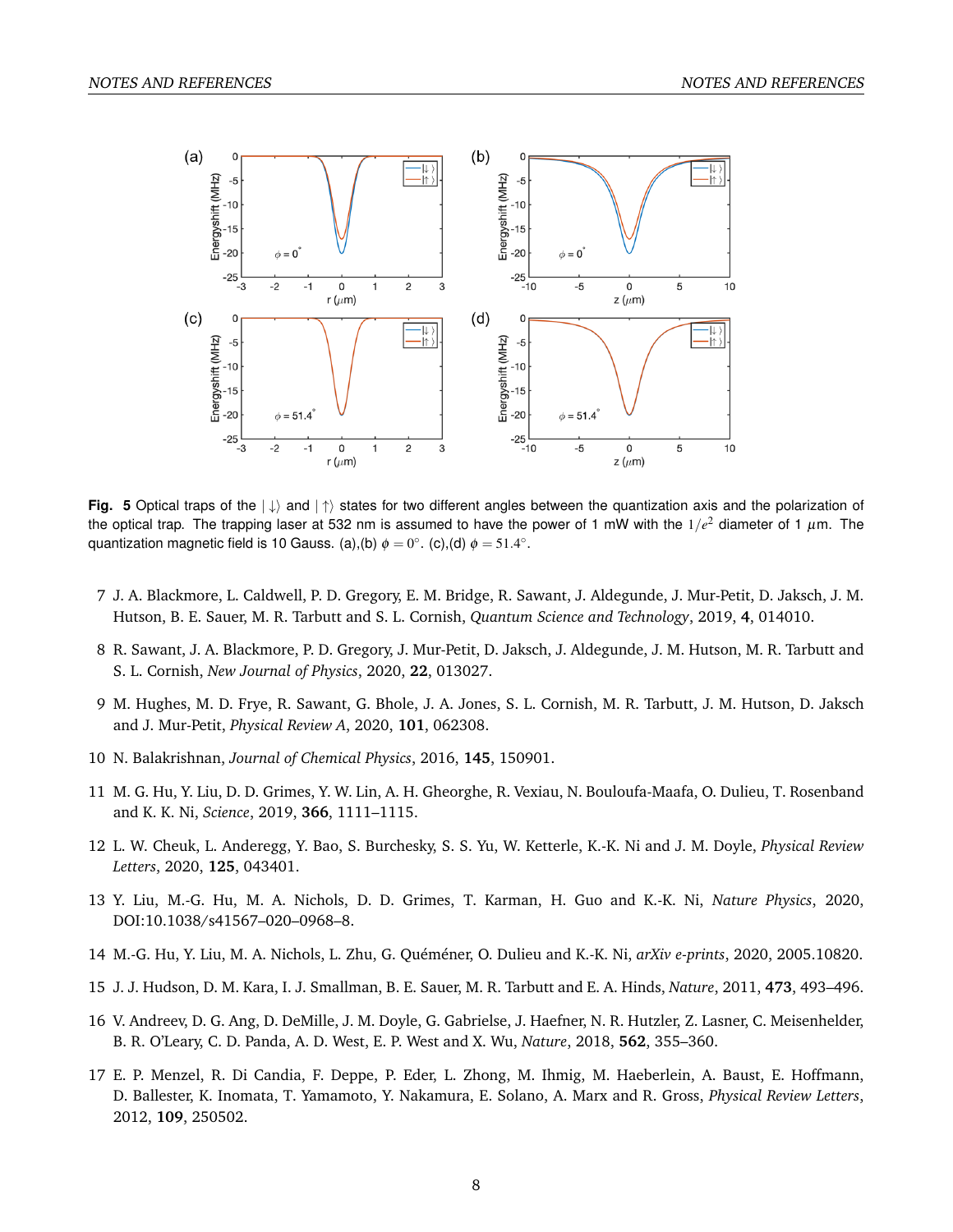<span id="page-7-6"></span>

**Fig. 5** Optical traps of the  $|\downarrow\rangle$  and  $|\uparrow\rangle$  states for two different angles between the quantization axis and the polarization of the optical trap. The trapping laser at 532 nm is assumed to have the power of 1 mW with the 1/ $e^2$  diameter of 1  $\mu$ m. The quantization magnetic field is 10 Gauss. (a),(b)  $\phi = 0^{\circ}$ . (c),(d)  $\phi = 51.4^{\circ}$ .

- 7 J. A. Blackmore, L. Caldwell, P. D. Gregory, E. M. Bridge, R. Sawant, J. Aldegunde, J. Mur-Petit, D. Jaksch, J. M. Hutson, B. E. Sauer, M. R. Tarbutt and S. L. Cornish, *Quantum Science and Technology*, 2019, **4**, 014010.
- 8 R. Sawant, J. A. Blackmore, P. D. Gregory, J. Mur-Petit, D. Jaksch, J. Aldegunde, J. M. Hutson, M. R. Tarbutt and S. L. Cornish, *New Journal of Physics*, 2020, **22**, 013027.
- <span id="page-7-0"></span>9 M. Hughes, M. D. Frye, R. Sawant, G. Bhole, J. A. Jones, S. L. Cornish, M. R. Tarbutt, J. M. Hutson, D. Jaksch and J. Mur-Petit, *Physical Review A*, 2020, **101**, 062308.
- <span id="page-7-1"></span>10 N. Balakrishnan, *Journal of Chemical Physics*, 2016, **145**, 150901.
- 11 M. G. Hu, Y. Liu, D. D. Grimes, Y. W. Lin, A. H. Gheorghe, R. Vexiau, N. Bouloufa-Maafa, O. Dulieu, T. Rosenband and K. K. Ni, *Science*, 2019, **366**, 1111–1115.
- 12 L. W. Cheuk, L. Anderegg, Y. Bao, S. Burchesky, S. S. Yu, W. Ketterle, K.-K. Ni and J. M. Doyle, *Physical Review Letters*, 2020, **125**, 043401.
- 13 Y. Liu, M.-G. Hu, M. A. Nichols, D. D. Grimes, T. Karman, H. Guo and K.-K. Ni, *Nature Physics*, 2020, DOI:10.1038/s41567–020–0968–8.
- <span id="page-7-2"></span>14 M.-G. Hu, Y. Liu, M. A. Nichols, L. Zhu, G. Quéméner, O. Dulieu and K.-K. Ni, *arXiv e-prints*, 2020, 2005.10820.
- <span id="page-7-3"></span>15 J. J. Hudson, D. M. Kara, I. J. Smallman, B. E. Sauer, M. R. Tarbutt and E. A. Hinds, *Nature*, 2011, **473**, 493–496.
- <span id="page-7-4"></span>16 V. Andreev, D. G. Ang, D. DeMille, J. M. Doyle, G. Gabrielse, J. Haefner, N. R. Hutzler, Z. Lasner, C. Meisenhelder, B. R. O'Leary, C. D. Panda, A. D. West, E. P. West and X. Wu, *Nature*, 2018, **562**, 355–360.
- <span id="page-7-5"></span>17 E. P. Menzel, R. Di Candia, F. Deppe, P. Eder, L. Zhong, M. Ihmig, M. Haeberlein, A. Baust, E. Hoffmann, D. Ballester, K. Inomata, T. Yamamoto, Y. Nakamura, E. Solano, A. Marx and R. Gross, *Physical Review Letters*, 2012, **109**, 250502.